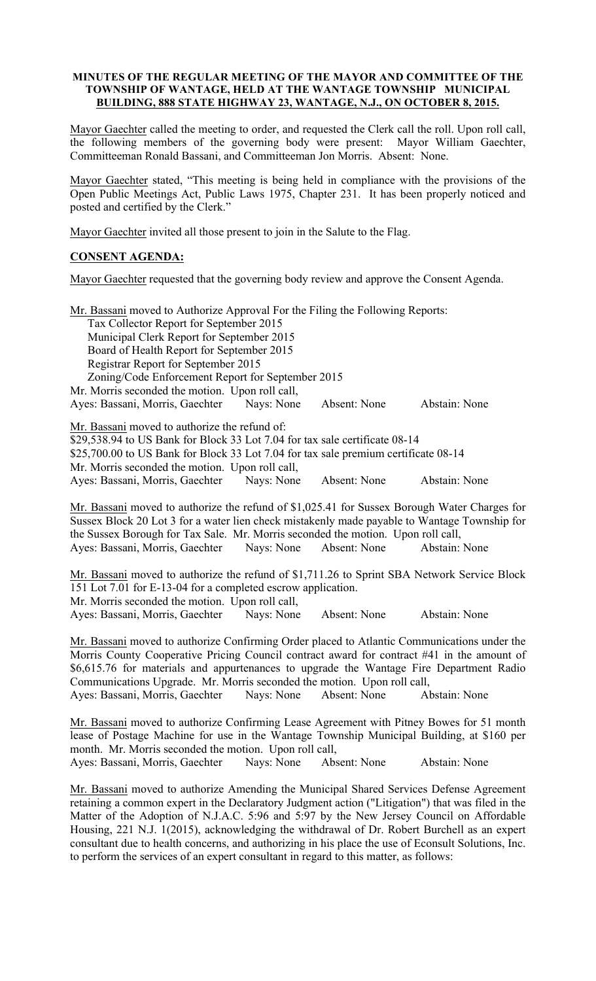### MINUTES OF THE REGULAR MEETING OF THE MAYOR AND COMMITTEE OF THE TOWNSHIP OF WANTAGE, HELD AT THE WANTAGE TOWNSHIP MUNICIPAL BUILDING, 888 STATE HIGHWAY 23, WANTAGE, N.J., ON OCTOBER 8, 2015.

Mayor Gaechter called the meeting to order, and requested the Clerk call the roll. Upon roll call, the following members of the governing body were present: Mayor William Gaechter, Committeeman Ronald Bassani, and Committeeman Jon Morris. Absent: None.

Mayor Gaechter stated, "This meeting is being held in compliance with the provisions of the Open Public Meetings Act, Public Laws 1975, Chapter 231. It has been properly noticed and posted and certified by the Clerk."

Mayor Gaechter invited all those present to join in the Salute to the Flag.

# CONSENT AGENDA:

Mayor Gaechter requested that the governing body review and approve the Consent Agenda.

| Mr. Bassani moved to Authorize Approval For the Filing the Following Reports:       |  |              |               |
|-------------------------------------------------------------------------------------|--|--------------|---------------|
| Tax Collector Report for September 2015                                             |  |              |               |
| Municipal Clerk Report for September 2015                                           |  |              |               |
| Board of Health Report for September 2015                                           |  |              |               |
| Registrar Report for September 2015                                                 |  |              |               |
| Zoning/Code Enforcement Report for September 2015                                   |  |              |               |
| Mr. Morris seconded the motion. Upon roll call,                                     |  |              |               |
| Ayes: Bassani, Morris, Gaechter Nays: None                                          |  | Absent: None | Abstain: None |
| Mr. Bassani moved to authorize the refund of:                                       |  |              |               |
| \$29,538.94 to US Bank for Block 33 Lot 7.04 for tax sale certificate 08-14         |  |              |               |
| \$25,700.00 to US Bank for Block 33 Lot 7.04 for tax sale premium certificate 08-14 |  |              |               |
| Mr. Morris seconded the motion. Upon roll call,                                     |  |              |               |
| Ayes: Bassani, Morris, Gaechter Nays: None                                          |  | Absent: None | Abstain: None |

Mr. Bassani moved to authorize the refund of \$1,025.41 for Sussex Borough Water Charges for Sussex Block 20 Lot 3 for a water lien check mistakenly made payable to Wantage Township for the Sussex Borough for Tax Sale. Mr. Morris seconded the motion. Upon roll call, Ayes: Bassani, Morris, Gaechter Nays: None Absent: None Abstain: None

Mr. Bassani moved to authorize the refund of \$1,711.26 to Sprint SBA Network Service Block 151 Lot 7.01 for E-13-04 for a completed escrow application. Mr. Morris seconded the motion. Upon roll call, Ayes: Bassani, Morris, Gaechter Nays: None Absent: None Abstain: None

Mr. Bassani moved to authorize Confirming Order placed to Atlantic Communications under the Morris County Cooperative Pricing Council contract award for contract #41 in the amount of \$6,615.76 for materials and appurtenances to upgrade the Wantage Fire Department Radio Communications Upgrade. Mr. Morris seconded the motion. Upon roll call,

Ayes: Bassani, Morris, Gaechter Nays: None Absent: None Abstain: None

Mr. Bassani moved to authorize Confirming Lease Agreement with Pitney Bowes for 51 month lease of Postage Machine for use in the Wantage Township Municipal Building, at \$160 per month. Mr. Morris seconded the motion. Upon roll call,

Ayes: Bassani, Morris, Gaechter Nays: None Absent: None Abstain: None

Mr. Bassani moved to authorize Amending the Municipal Shared Services Defense Agreement retaining a common expert in the Declaratory Judgment action ("Litigation") that was filed in the Matter of the Adoption of N.J.A.C. 5:96 and 5:97 by the New Jersey Council on Affordable Housing, 221 N.J. 1(2015), acknowledging the withdrawal of Dr. Robert Burchell as an expert consultant due to health concerns, and authorizing in his place the use of Econsult Solutions, Inc. to perform the services of an expert consultant in regard to this matter, as follows: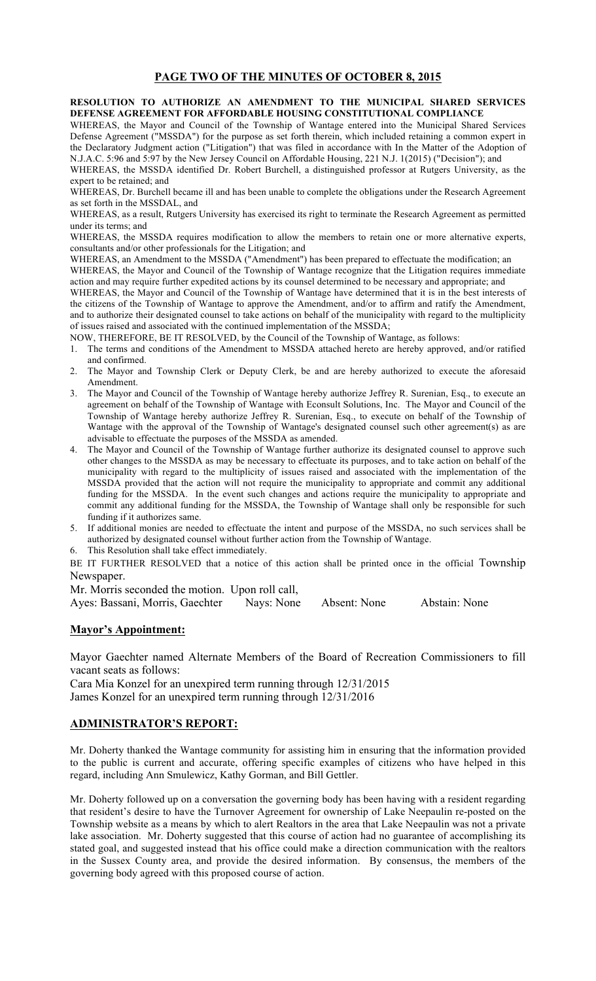## PAGE TWO OF THE MINUTES OF OCTOBER 8, 2015

RESOLUTION TO AUTHORIZE AN AMENDMENT TO THE MUNICIPAL SHARED SERVICES DEFENSE AGREEMENT FOR AFFORDABLE HOUSING CONSTITUTIONAL COMPLIANCE

WHEREAS, the Mayor and Council of the Township of Wantage entered into the Municipal Shared Services Defense Agreement ("MSSDA") for the purpose as set forth therein, which included retaining a common expert in the Declaratory Judgment action ("Litigation") that was filed in accordance with In the Matter of the Adoption of N.J.A.C. 5:96 and 5:97 by the New Jersey Council on Affordable Housing, 221 N.J. 1(2015) ("Decision"); and

WHEREAS, the MSSDA identified Dr. Robert Burchell, a distinguished professor at Rutgers University, as the expert to be retained; and

WHEREAS, Dr. Burchell became ill and has been unable to complete the obligations under the Research Agreement as set forth in the MSSDAL, and

WHEREAS, as a result, Rutgers University has exercised its right to terminate the Research Agreement as permitted under its terms; and

WHEREAS, the MSSDA requires modification to allow the members to retain one or more alternative experts, consultants and/or other professionals for the Litigation; and

WHEREAS, an Amendment to the MSSDA ("Amendment") has been prepared to effectuate the modification; an

WHEREAS, the Mayor and Council of the Township of Wantage recognize that the Litigation requires immediate action and may require further expedited actions by its counsel determined to be necessary and appropriate; and

WHEREAS, the Mayor and Council of the Township of Wantage have determined that it is in the best interests of the citizens of the Township of Wantage to approve the Amendment, and/or to affirm and ratify the Amendment, and to authorize their designated counsel to take actions on behalf of the municipality with regard to the multiplicity of issues raised and associated with the continued implementation of the MSSDA;

NOW, THEREFORE, BE IT RESOLVED, by the Council of the Township of Wantage, as follows:

- 1. The terms and conditions of the Amendment to MSSDA attached hereto are hereby approved, and/or ratified and confirmed.
- 2. The Mayor and Township Clerk or Deputy Clerk, be and are hereby authorized to execute the aforesaid Amendment.
- 3. The Mayor and Council of the Township of Wantage hereby authorize Jeffrey R. Surenian, Esq., to execute an agreement on behalf of the Township of Wantage with Econsult Solutions, Inc. The Mayor and Council of the Township of Wantage hereby authorize Jeffrey R. Surenian, Esq., to execute on behalf of the Township of Wantage with the approval of the Township of Wantage's designated counsel such other agreement(s) as are advisable to effectuate the purposes of the MSSDA as amended.
- 4. The Mayor and Council of the Township of Wantage further authorize its designated counsel to approve such other changes to the MSSDA as may be necessary to effectuate its purposes, and to take action on behalf of the municipality with regard to the multiplicity of issues raised and associated with the implementation of the MSSDA provided that the action will not require the municipality to appropriate and commit any additional funding for the MSSDA. In the event such changes and actions require the municipality to appropriate and commit any additional funding for the MSSDA, the Township of Wantage shall only be responsible for such funding if it authorizes same.
- 5. If additional monies are needed to effectuate the intent and purpose of the MSSDA, no such services shall be authorized by designated counsel without further action from the Township of Wantage.
- 6. This Resolution shall take effect immediately.
- BE IT FURTHER RESOLVED that a notice of this action shall be printed once in the official Township Newspaper.

Mr. Morris seconded the motion. Upon roll call,

Ayes: Bassani, Morris, Gaechter Nays: None Absent: None Abstain: None

#### Mayor's Appointment:

Mayor Gaechter named Alternate Members of the Board of Recreation Commissioners to fill vacant seats as follows:

Cara Mia Konzel for an unexpired term running through 12/31/2015 James Konzel for an unexpired term running through 12/31/2016

# ADMINISTRATOR'S REPORT:

Mr. Doherty thanked the Wantage community for assisting him in ensuring that the information provided to the public is current and accurate, offering specific examples of citizens who have helped in this regard, including Ann Smulewicz, Kathy Gorman, and Bill Gettler.

Mr. Doherty followed up on a conversation the governing body has been having with a resident regarding that resident's desire to have the Turnover Agreement for ownership of Lake Neepaulin re-posted on the Township website as a means by which to alert Realtors in the area that Lake Neepaulin was not a private lake association. Mr. Doherty suggested that this course of action had no guarantee of accomplishing its stated goal, and suggested instead that his office could make a direction communication with the realtors in the Sussex County area, and provide the desired information. By consensus, the members of the governing body agreed with this proposed course of action.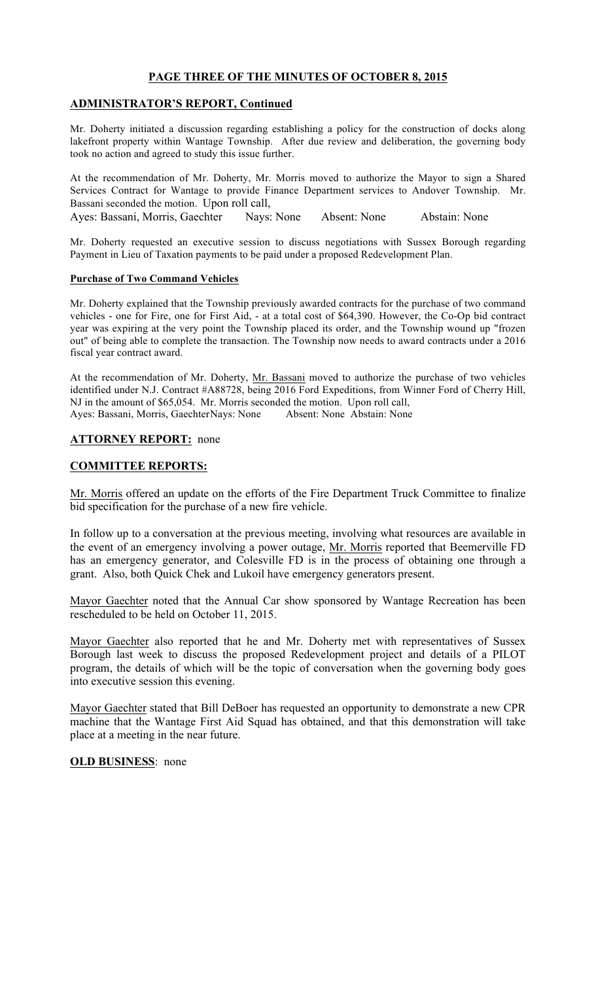## PAGE THREE OF THE MINUTES OF OCTOBER 8, 2015

## ADMINISTRATOR'S REPORT, Continued

Mr. Doherty initiated a discussion regarding establishing a policy for the construction of docks along lakefront property within Wantage Township. After due review and deliberation, the governing body took no action and agreed to study this issue further.

At the recommendation of Mr. Doherty, Mr. Morris moved to authorize the Mayor to sign a Shared Services Contract for Wantage to provide Finance Department services to Andover Township. Mr. Bassani seconded the motion. Upon roll call, Ayes: Bassani, Morris, Gaechter Nays: None Absent: None Abstain: None

Mr. Doherty requested an executive session to discuss negotiations with Sussex Borough regarding Payment in Lieu of Taxation payments to be paid under a proposed Redevelopment Plan.

#### Purchase of Two Command Vehicles

Mr. Doherty explained that the Township previously awarded contracts for the purchase of two command vehicles - one for Fire, one for First Aid, - at a total cost of \$64,390. However, the Co-Op bid contract year was expiring at the very point the Township placed its order, and the Township wound up "frozen out" of being able to complete the transaction. The Township now needs to award contracts under a 2016 fiscal year contract award.

At the recommendation of Mr. Doherty, Mr. Bassani moved to authorize the purchase of two vehicles identified under N.J. Contract #A88728, being 2016 Ford Expeditions, from Winner Ford of Cherry Hill, NJ in the amount of \$65,054. Mr. Morris seconded the motion. Upon roll call, Ayes: Bassani, Morris, GaechterNays: None Absent: None Abstain: None

## ATTORNEY REPORT: none

### COMMITTEE REPORTS:

Mr. Morris offered an update on the efforts of the Fire Department Truck Committee to finalize bid specification for the purchase of a new fire vehicle.

In follow up to a conversation at the previous meeting, involving what resources are available in the event of an emergency involving a power outage, Mr. Morris reported that Beemerville FD has an emergency generator, and Colesville FD is in the process of obtaining one through a grant. Also, both Quick Chek and Lukoil have emergency generators present.

Mayor Gaechter noted that the Annual Car show sponsored by Wantage Recreation has been rescheduled to be held on October 11, 2015.

Mayor Gaechter also reported that he and Mr. Doherty met with representatives of Sussex Borough last week to discuss the proposed Redevelopment project and details of a PILOT program, the details of which will be the topic of conversation when the governing body goes into executive session this evening.

Mayor Gaechter stated that Bill DeBoer has requested an opportunity to demonstrate a new CPR machine that the Wantage First Aid Squad has obtained, and that this demonstration will take place at a meeting in the near future.

#### OLD BUSINESS: none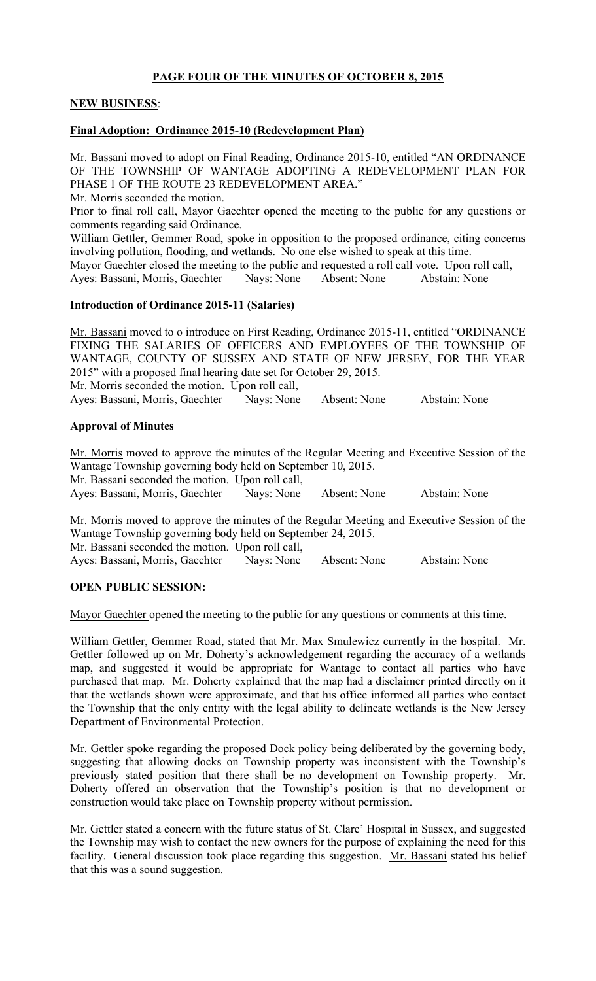# PAGE FOUR OF THE MINUTES OF OCTOBER 8, 2015

## NEW BUSINESS:

### Final Adoption: Ordinance 2015-10 (Redevelopment Plan)

Mr. Bassani moved to adopt on Final Reading, Ordinance 2015-10, entitled "AN ORDINANCE OF THE TOWNSHIP OF WANTAGE ADOPTING A REDEVELOPMENT PLAN FOR PHASE 1 OF THE ROUTE 23 REDEVELOPMENT AREA."

Mr. Morris seconded the motion.

Prior to final roll call, Mayor Gaechter opened the meeting to the public for any questions or comments regarding said Ordinance.

William Gettler, Gemmer Road, spoke in opposition to the proposed ordinance, citing concerns involving pollution, flooding, and wetlands. No one else wished to speak at this time.

Mayor Gaechter closed the meeting to the public and requested a roll call vote. Upon roll call, Ayes: Bassani, Morris, Gaechter Nays: None Absent: None Abstain: None

## Introduction of Ordinance 2015-11 (Salaries)

Mr. Bassani moved to o introduce on First Reading, Ordinance 2015-11, entitled "ORDINANCE FIXING THE SALARIES OF OFFICERS AND EMPLOYEES OF THE TOWNSHIP OF WANTAGE, COUNTY OF SUSSEX AND STATE OF NEW JERSEY, FOR THE YEAR 2015" with a proposed final hearing date set for October 29, 2015. Mr. Morris seconded the motion. Upon roll call, Ayes: Bassani, Morris, Gaechter Nays: None Absent: None Abstain: None

## Approval of Minutes

Mr. Morris moved to approve the minutes of the Regular Meeting and Executive Session of the Wantage Township governing body held on September 10, 2015.

Mr. Bassani seconded the motion. Upon roll call,

Ayes: Bassani, Morris, Gaechter Nays: None Absent: None Abstain: None

Mr. Morris moved to approve the minutes of the Regular Meeting and Executive Session of the Wantage Township governing body held on September 24, 2015. Mr. Bassani seconded the motion. Upon roll call,

Ayes: Bassani, Morris, Gaechter Nays: None Absent: None Abstain: None

## OPEN PUBLIC SESSION:

Mayor Gaechter opened the meeting to the public for any questions or comments at this time.

William Gettler, Gemmer Road, stated that Mr. Max Smulewicz currently in the hospital. Mr. Gettler followed up on Mr. Doherty's acknowledgement regarding the accuracy of a wetlands map, and suggested it would be appropriate for Wantage to contact all parties who have purchased that map. Mr. Doherty explained that the map had a disclaimer printed directly on it that the wetlands shown were approximate, and that his office informed all parties who contact the Township that the only entity with the legal ability to delineate wetlands is the New Jersey Department of Environmental Protection.

Mr. Gettler spoke regarding the proposed Dock policy being deliberated by the governing body, suggesting that allowing docks on Township property was inconsistent with the Township's previously stated position that there shall be no development on Township property. Mr. Doherty offered an observation that the Township's position is that no development or construction would take place on Township property without permission.

Mr. Gettler stated a concern with the future status of St. Clare' Hospital in Sussex, and suggested the Township may wish to contact the new owners for the purpose of explaining the need for this facility. General discussion took place regarding this suggestion. Mr. Bassani stated his belief that this was a sound suggestion.